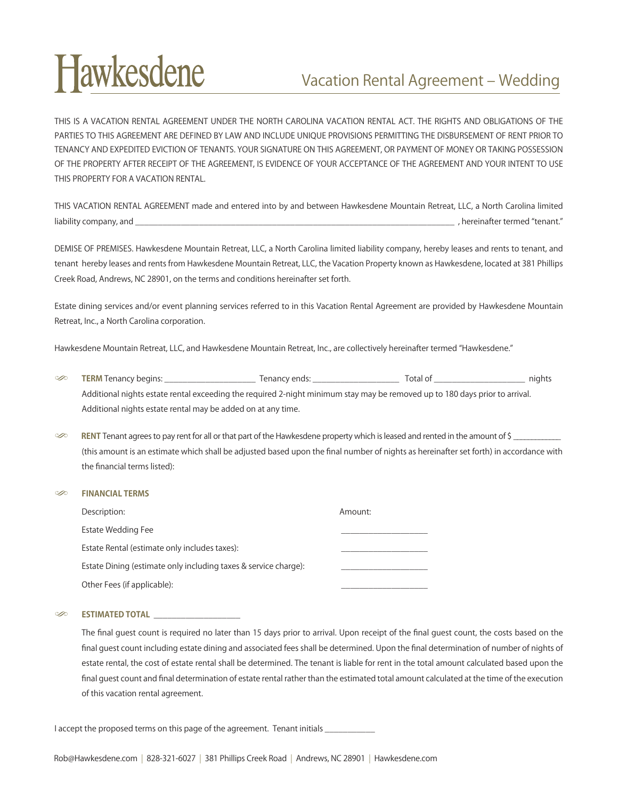## **Hawkesdene**

## Vacation Rental Agreement – Wedding

THIS IS A VACATION RENTAL AGREEMENT UNDER THE NORTH CAROLINA VACATION RENTAL ACT. THE RIGHTS AND OBLIGATIONS OF THE PARTIES TO THIS AGREEMENT ARE DEFINED BY LAW AND INCLUDE UNIQUE PROVISIONS PERMITTING THE DISBURSEMENT OF RENT PRIOR TO TENANCY AND EXPEDITED EVICTION OF TENANTS. YOUR SIGNATURE ON THIS AGREEMENT, OR PAYMENT OF MONEY OR TAKING POSSESSION OF THE PROPERTY AFTER RECEIPT OF THE AGREEMENT, IS EVIDENCE OF YOUR ACCEPTANCE OF THE AGREEMENT AND YOUR INTENT TO USE THIS PROPERTY FOR A VACATION RENTAL.

THIS VACATION RENTAL AGREEMENT made and entered into by and between Hawkesdene Mountain Retreat, LLC, a North Carolina limited liability company, and \_\_\_\_\_\_\_\_\_\_\_\_\_\_\_\_\_\_\_\_\_\_\_\_\_\_\_\_\_\_\_\_\_\_\_\_\_\_\_\_\_\_\_\_\_\_\_\_\_\_\_\_\_\_\_\_\_\_\_\_\_\_\_\_\_\_\_\_\_\_ , hereinafter termed "tenant."

DEMISE OF PREMISES. Hawkesdene Mountain Retreat, LLC, a North Carolina limited liability company, hereby leases and rents to tenant, and tenant hereby leases and rents from Hawkesdene Mountain Retreat, LLC, the Vacation Property known as Hawkesdene, located at 381 Phillips Creek Road, Andrews, NC 28901, on the terms and conditions hereinafter set forth.

Estate dining services and/or event planning services referred to in this Vacation Rental Agreement are provided by Hawkesdene Mountain Retreat, Inc., a North Carolina corporation.

Hawkesdene Mountain Retreat, LLC, and Hawkesdene Mountain Retreat, Inc., are collectively hereinafter termed "Hawkesdene."

- S **TERM** Tenancy begins: \_\_\_\_\_\_\_\_\_\_\_\_\_\_\_\_\_\_\_\_ Tenancy ends: \_\_\_\_\_\_\_\_\_\_\_\_\_\_\_\_\_\_\_ Total of \_\_\_\_\_\_\_\_\_\_\_\_\_\_\_\_\_\_\_\_ nights Additional nights estate rental exceeding the required 2-night minimum stay may be removed up to 180 days prior to arrival. Additional nights estate rental may be added on at any time.
- $\gg$  **RENT** Tenant agrees to pay rent for all or that part of the Hawkesdene property which is leased and rented in the amount of \$ (this amount is an estimate which shall be adjusted based upon the final number of nights as hereinafter set forth) in accordance with the financial terms listed):

| $\infty$ | <b>FINANCIAL TERMS</b> |  |
|----------|------------------------|--|
|          |                        |  |

| Description:                                                    | Amount: |
|-----------------------------------------------------------------|---------|
| Estate Wedding Fee                                              |         |
| Estate Rental (estimate only includes taxes):                   |         |
| Estate Dining (estimate only including taxes & service charge): |         |
| Other Fees (if applicable):                                     |         |

## $\infty$  **ESTIMATED TOTAL**

The final guest count is required no later than 15 days prior to arrival. Upon receipt of the final guest count, the costs based on the final guest count including estate dining and associated fees shall be determined. Upon the final determination of number of nights of estate rental, the cost of estate rental shall be determined. The tenant is liable for rent in the total amount calculated based upon the final guest count and final determination of estate rental rather than the estimated total amount calculated at the time of the execution of this vacation rental agreement.

I accept the proposed terms on this page of the agreement. Tenant initials \_\_\_\_\_\_\_\_\_\_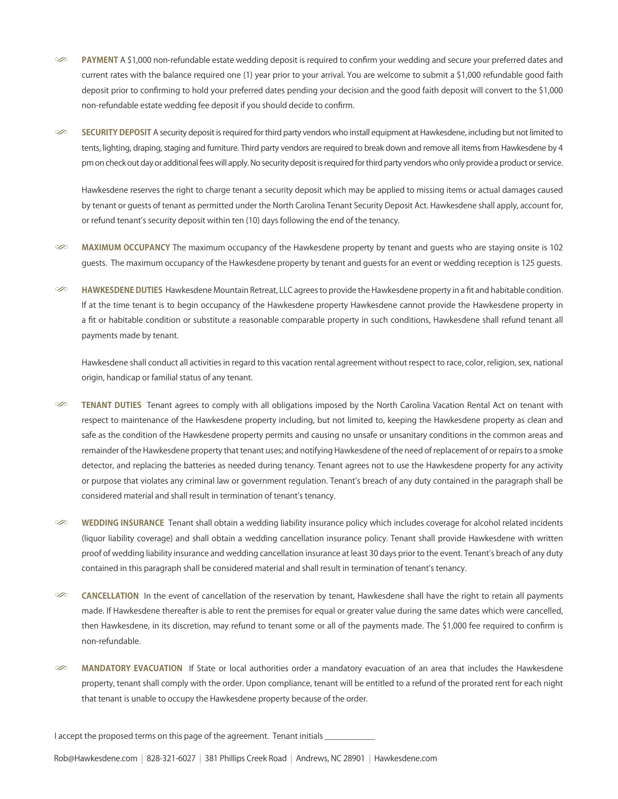- S **PAYMENT** A \$1,000 non-refundable estate wedding deposit is required to confirm your wedding and secure your preferred dates and current rates with the balance required one (1) year prior to your arrival. You are welcome to submit a \$1,000 refundable good faith deposit prior to confirming to hold your preferred dates pending your decision and the good faith deposit will convert to the \$1,000 non-refundable estate wedding fee deposit if you should decide to confirm.
- SECURITY DEPOSIT A security deposit is required for third party vendors who install equipment at Hawkesdene, including but not limited to tents, lighting, draping, staging and furniture. Third party vendors are required to break down and remove all items from Hawkesdene by 4 pm on check out day or additional fees will apply. No security deposit is required for third party vendors who only provide a product or service.

Hawkesdene reserves the right to charge tenant a security deposit which may be applied to missing items or actual damages caused by tenant or guests of tenant as permitted under the North Carolina Tenant Security Deposit Act. Hawkesdene shall apply, account for, or refund tenant's security deposit within ten (10) days following the end of the tenancy.

- $\gg$  **MAXIMUM OCCUPANCY** The maximum occupancy of the Hawkesdene property by tenant and quests who are staying onsite is 102 guests. The maximum occupancy of the Hawkesdene property by tenant and guests for an event or wedding reception is 125 guests.
- S **HAWKESDENE DUTIES** Hawkesdene Mountain Retreat, LLC agrees to provide the Hawkesdene property in a fit and habitable condition. If at the time tenant is to begin occupancy of the Hawkesdene property Hawkesdene cannot provide the Hawkesdene property in a fit or habitable condition or substitute a reasonable comparable property in such conditions, Hawkesdene shall refund tenant all payments made by tenant.

Hawkesdene shall conduct all activities in regard to this vacation rental agreement without respect to race, color, religion, sex, national origin, handicap or familial status of any tenant.

- S **TENANT DUTIES** Tenant agrees to comply with all obligations imposed by the North Carolina Vacation Rental Act on tenant with respect to maintenance of the Hawkesdene property including, but not limited to, keeping the Hawkesdene property as clean and safe as the condition of the Hawkesdene property permits and causing no unsafe or unsanitary conditions in the common areas and remainder of the Hawkesdene property that tenant uses; and notifying Hawkesdene of the need of replacement of or repairs to a smoke detector, and replacing the batteries as needed during tenancy. Tenant agrees not to use the Hawkesdene property for any activity or purpose that violates any criminal law or government regulation. Tenant's breach of any duty contained in the paragraph shall be considered material and shall result in termination of tenant's tenancy.
- $\gg$  WEDDING INSURANCE Tenant shall obtain a wedding liability insurance policy which includes coverage for alcohol related incidents (liquor liability coverage) and shall obtain a wedding cancellation insurance policy. Tenant shall provide Hawkesdene with written proof of wedding liability insurance and wedding cancellation insurance at least 30 days prior to the event. Tenant's breach of any duty contained in this paragraph shall be considered material and shall result in termination of tenant's tenancy.
- $\infty$  **CANCELLATION** In the event of cancellation of the reservation by tenant, Hawkesdene shall have the right to retain all payments made. If Hawkesdene thereafter is able to rent the premises for equal or greater value during the same dates which were cancelled, then Hawkesdene, in its discretion, may refund to tenant some or all of the payments made. The \$1,000 fee required to confirm is non-refundable.
- $\infty$  **MANDATORY EVACUATION** If State or local authorities order a mandatory evacuation of an area that includes the Hawkesdene property, tenant shall comply with the order. Upon compliance, tenant will be entitled to a refund of the prorated rent for each night that tenant is unable to occupy the Hawkesdene property because of the order.

I accept the proposed terms on this page of the agreement. Tenant initials

Rob@Hawkesdene.com | 828-321-6027 | 381 Phillips Creek Road | Andrews, NC 28901 | Hawkesdene.com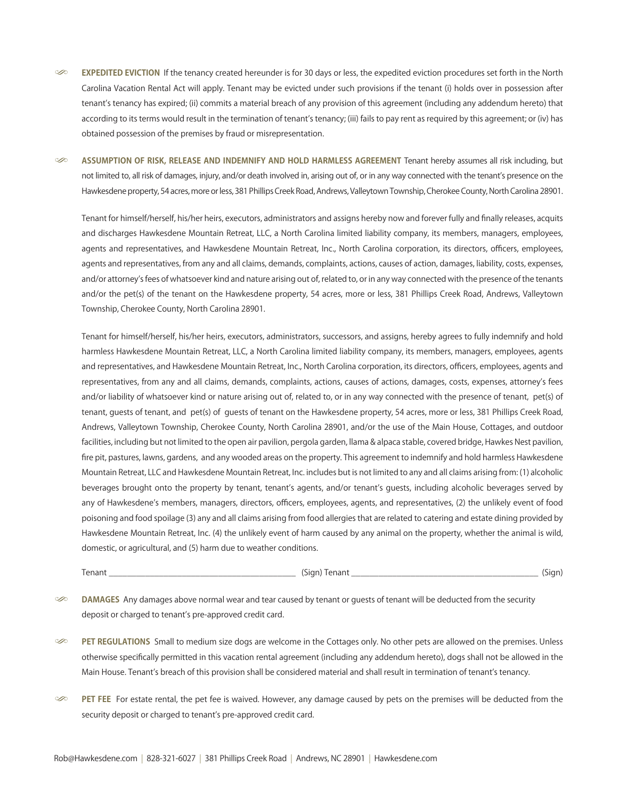S **EXPEDITED EVICTION** If the tenancy created hereunder is for 30 days or less, the expedited eviction procedures set forth in the North Carolina Vacation Rental Act will apply. Tenant may be evicted under such provisions if the tenant (i) holds over in possession after tenant's tenancy has expired; (ii) commits a material breach of any provision of this agreement (including any addendum hereto) that according to its terms would result in the termination of tenant's tenancy; (iii) fails to pay rent as required by this agreement; or (iv) has obtained possession of the premises by fraud or misrepresentation.

 $\infty$  ASSUMPTION OF RISK, RELEASE AND INDEMNIFY AND HOLD HARMLESS AGREEMENT Tenant hereby assumes all risk including, but not limited to, all risk of damages, injury, and/or death involved in, arising out of, or in any way connected with the tenant's presence on the Hawkesdene property, 54 acres, more or less, 381 Phillips Creek Road, Andrews, Valleytown Township, Cherokee County, North Carolina 28901.

Tenant for himself/herself, his/her heirs, executors, administrators and assigns hereby now and forever fully and finally releases, acquits and discharges Hawkesdene Mountain Retreat, LLC, a North Carolina limited liability company, its members, managers, employees, agents and representatives, and Hawkesdene Mountain Retreat, Inc., North Carolina corporation, its directors, officers, employees, agents and representatives, from any and all claims, demands, complaints, actions, causes of action, damages, liability, costs, expenses, and/or attorney's fees of whatsoever kind and nature arising out of, related to, or in any way connected with the presence of the tenants and/or the pet(s) of the tenant on the Hawkesdene property, 54 acres, more or less, 381 Phillips Creek Road, Andrews, Valleytown Township, Cherokee County, North Carolina 28901.

Tenant for himself/herself, his/her heirs, executors, administrators, successors, and assigns, hereby agrees to fully indemnify and hold harmless Hawkesdene Mountain Retreat, LLC, a North Carolina limited liability company, its members, managers, employees, agents and representatives, and Hawkesdene Mountain Retreat, Inc., North Carolina corporation, its directors, officers, employees, agents and representatives, from any and all claims, demands, complaints, actions, causes of actions, damages, costs, expenses, attorney's fees and/or liability of whatsoever kind or nature arising out of, related to, or in any way connected with the presence of tenant, pet(s) of tenant, guests of tenant, and pet(s) of guests of tenant on the Hawkesdene property, 54 acres, more or less, 381 Phillips Creek Road, Andrews, Valleytown Township, Cherokee County, North Carolina 28901, and/or the use of the Main House, Cottages, and outdoor facilities, including but not limited to the open air pavilion, pergola garden, llama & alpaca stable, covered bridge, Hawkes Nest pavilion, fire pit, pastures, lawns, gardens, and any wooded areas on the property. This agreement to indemnify and hold harmless Hawkesdene Mountain Retreat, LLC and Hawkesdene Mountain Retreat, Inc. includes but is not limited to any and all claims arising from: (1) alcoholic beverages brought onto the property by tenant, tenant's agents, and/or tenant's guests, including alcoholic beverages served by any of Hawkesdene's members, managers, directors, officers, employees, agents, and representatives, (2) the unlikely event of food poisoning and food spoilage (3) any and all claims arising from food allergies that are related to catering and estate dining provided by Hawkesdene Mountain Retreat, Inc. (4) the unlikely event of harm caused by any animal on the property, whether the animal is wild, domestic, or agricultural, and (5) harm due to weather conditions.

Tenant \_\_\_\_\_\_\_\_\_\_\_\_\_\_\_\_\_\_\_\_\_\_\_\_\_\_\_\_\_\_\_\_\_\_\_\_\_\_\_\_\_ (Sign) Tenant \_\_\_\_\_\_\_\_\_\_\_\_\_\_\_\_\_\_\_\_\_\_\_\_\_\_\_\_\_\_\_\_\_\_\_\_\_\_\_\_\_ (Sign)

 $\gg$  **DAMAGES** Any damages above normal wear and tear caused by tenant or guests of tenant will be deducted from the security deposit or charged to tenant's pre-approved credit card.

S **PET REGULATIONS** Small to medium size dogs are welcome in the Cottages only. No other pets are allowed on the premises. Unless otherwise specifically permitted in this vacation rental agreement (including any addendum hereto), dogs shall not be allowed in the Main House. Tenant's breach of this provision shall be considered material and shall result in termination of tenant's tenancy.

S **PET FEE** For estate rental, the pet fee is waived. However, any damage caused by pets on the premises will be deducted from the security deposit or charged to tenant's pre-approved credit card.